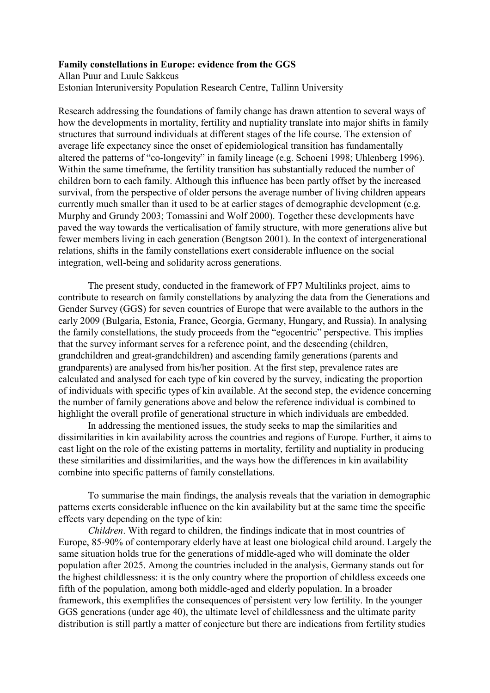## Family constellations in Europe: evidence from the GGS

Allan Puur and Luule Sakkeus Estonian Interuniversity Population Research Centre, Tallinn University

Research addressing the foundations of family change has drawn attention to several ways of how the developments in mortality, fertility and nuptiality translate into major shifts in family structures that surround individuals at different stages of the life course. The extension of average life expectancy since the onset of epidemiological transition has fundamentally altered the patterns of "co-longevity" in family lineage (e.g. Schoeni 1998; Uhlenberg 1996). Within the same timeframe, the fertility transition has substantially reduced the number of children born to each family. Although this influence has been partly offset by the increased survival, from the perspective of older persons the average number of living children appears currently much smaller than it used to be at earlier stages of demographic development (e.g. Murphy and Grundy 2003; Tomassini and Wolf 2000). Together these developments have paved the way towards the verticalisation of family structure, with more generations alive but fewer members living in each generation (Bengtson 2001). In the context of intergenerational relations, shifts in the family constellations exert considerable influence on the social integration, well-being and solidarity across generations.

 The present study, conducted in the framework of FP7 Multilinks project, aims to contribute to research on family constellations by analyzing the data from the Generations and Gender Survey (GGS) for seven countries of Europe that were available to the authors in the early 2009 (Bulgaria, Estonia, France, Georgia, Germany, Hungary, and Russia). In analysing the family constellations, the study proceeds from the "egocentric" perspective. This implies that the survey informant serves for a reference point, and the descending (children, grandchildren and great-grandchildren) and ascending family generations (parents and grandparents) are analysed from his/her position. At the first step, prevalence rates are calculated and analysed for each type of kin covered by the survey, indicating the proportion of individuals with specific types of kin available. At the second step, the evidence concerning the number of family generations above and below the reference individual is combined to highlight the overall profile of generational structure in which individuals are embedded.

 In addressing the mentioned issues, the study seeks to map the similarities and dissimilarities in kin availability across the countries and regions of Europe. Further, it aims to cast light on the role of the existing patterns in mortality, fertility and nuptiality in producing these similarities and dissimilarities, and the ways how the differences in kin availability combine into specific patterns of family constellations.

To summarise the main findings, the analysis reveals that the variation in demographic patterns exerts considerable influence on the kin availability but at the same time the specific effects vary depending on the type of kin:

Children. With regard to children, the findings indicate that in most countries of Europe, 85-90% of contemporary elderly have at least one biological child around. Largely the same situation holds true for the generations of middle-aged who will dominate the older population after 2025. Among the countries included in the analysis, Germany stands out for the highest childlessness: it is the only country where the proportion of childless exceeds one fifth of the population, among both middle-aged and elderly population. In a broader framework, this exemplifies the consequences of persistent very low fertility. In the younger GGS generations (under age 40), the ultimate level of childlessness and the ultimate parity distribution is still partly a matter of conjecture but there are indications from fertility studies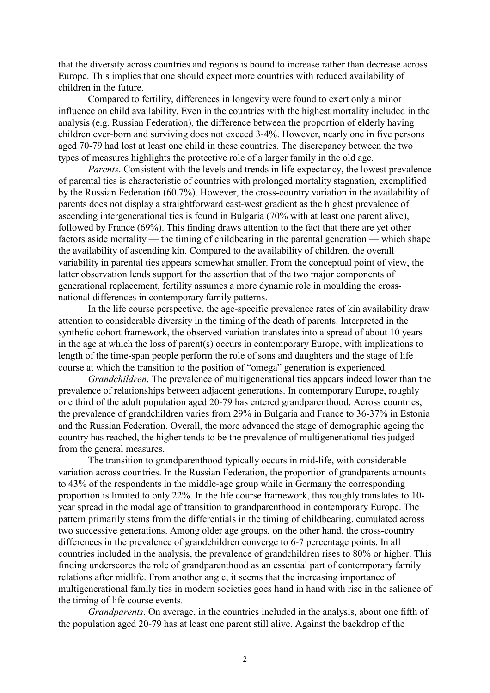that the diversity across countries and regions is bound to increase rather than decrease across Europe. This implies that one should expect more countries with reduced availability of children in the future.

 Compared to fertility, differences in longevity were found to exert only a minor influence on child availability. Even in the countries with the highest mortality included in the analysis (e.g. Russian Federation), the difference between the proportion of elderly having children ever-born and surviving does not exceed 3-4%. However, nearly one in five persons aged 70-79 had lost at least one child in these countries. The discrepancy between the two types of measures highlights the protective role of a larger family in the old age.

Parents. Consistent with the levels and trends in life expectancy, the lowest prevalence of parental ties is characteristic of countries with prolonged mortality stagnation, exemplified by the Russian Federation (60.7%). However, the cross-country variation in the availability of parents does not display a straightforward east-west gradient as the highest prevalence of ascending intergenerational ties is found in Bulgaria (70% with at least one parent alive), followed by France (69%). This finding draws attention to the fact that there are yet other factors aside mortality — the timing of childbearing in the parental generation — which shape the availability of ascending kin. Compared to the availability of children, the overall variability in parental ties appears somewhat smaller. From the conceptual point of view, the latter observation lends support for the assertion that of the two major components of generational replacement, fertility assumes a more dynamic role in moulding the crossnational differences in contemporary family patterns.

In the life course perspective, the age-specific prevalence rates of kin availability draw attention to considerable diversity in the timing of the death of parents. Interpreted in the synthetic cohort framework, the observed variation translates into a spread of about 10 years in the age at which the loss of parent(s) occurs in contemporary Europe, with implications to length of the time-span people perform the role of sons and daughters and the stage of life course at which the transition to the position of "omega" generation is experienced.

Grandchildren. The prevalence of multigenerational ties appears indeed lower than the prevalence of relationships between adjacent generations. In contemporary Europe, roughly one third of the adult population aged 20-79 has entered grandparenthood. Across countries, the prevalence of grandchildren varies from 29% in Bulgaria and France to 36-37% in Estonia and the Russian Federation. Overall, the more advanced the stage of demographic ageing the country has reached, the higher tends to be the prevalence of multigenerational ties judged from the general measures.

 The transition to grandparenthood typically occurs in mid-life, with considerable variation across countries. In the Russian Federation, the proportion of grandparents amounts to 43% of the respondents in the middle-age group while in Germany the corresponding proportion is limited to only 22%. In the life course framework, this roughly translates to 10 year spread in the modal age of transition to grandparenthood in contemporary Europe. The pattern primarily stems from the differentials in the timing of childbearing, cumulated across two successive generations. Among older age groups, on the other hand, the cross-country differences in the prevalence of grandchildren converge to 6-7 percentage points. In all countries included in the analysis, the prevalence of grandchildren rises to 80% or higher. This finding underscores the role of grandparenthood as an essential part of contemporary family relations after midlife. From another angle, it seems that the increasing importance of multigenerational family ties in modern societies goes hand in hand with rise in the salience of the timing of life course events.

Grandparents. On average, in the countries included in the analysis, about one fifth of the population aged 20-79 has at least one parent still alive. Against the backdrop of the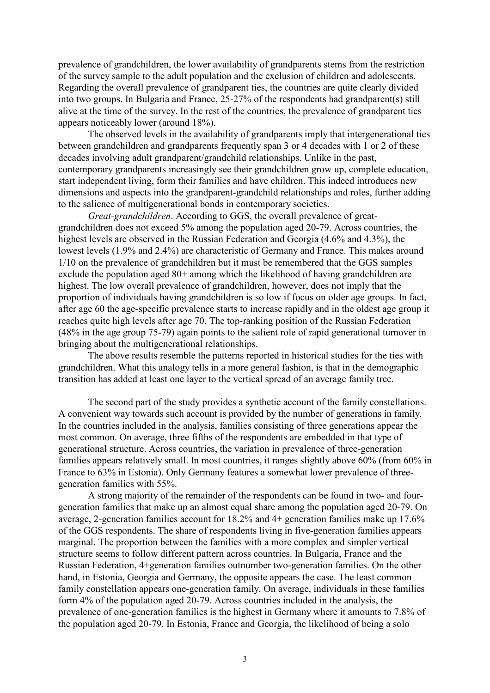prevalence of grandchildren, the lower availability of grandparents stems from the restriction of the survey sample to the adult population and the exclusion of children and adolescents. Regarding the overall prevalence of grandparent ties, the countries are quite clearly divided into two groups. In Bulgaria and France, 25-27% of the respondents had grandparent(s) still alive at the time of the survey. In the rest of the countries, the prevalence of grandparent ties appears noticeably lower (around 18%).

 The observed levels in the availability of grandparents imply that intergenerational ties between grandchildren and grandparents frequently span 3 or 4 decades with 1 or 2 of these decades involving adult grandparent/grandchild relationships. Unlike in the past, contemporary grandparents increasingly see their grandchildren grow up, complete education, start independent living, form their families and have children. This indeed introduces new dimensions and aspects into the grandparent-grandchild relationships and roles, further adding to the salience of multigenerational bonds in contemporary societies.

Great-grandchildren. According to GGS, the overall prevalence of greatgrandchildren does not exceed 5% among the population aged 20-79. Across countries, the highest levels are observed in the Russian Federation and Georgia (4.6% and 4.3%), the lowest levels (1.9% and 2.4%) are characteristic of Germany and France. This makes around 1/10 on the prevalence of grandchildren but it must be remembered that the GGS samples exclude the population aged 80+ among which the likelihood of having grandchildren are highest. The low overall prevalence of grandchildren, however, does not imply that the proportion of individuals having grandchildren is so low if focus on older age groups. In fact, after age 60 the age-specific prevalence starts to increase rapidly and in the oldest age group it reaches quite high levels after age 70. The top-ranking position of the Russian Federation (48% in the age group 75-79) again points to the salient role of rapid generational turnover in bringing about the multigenerational relationships.

 The above results resemble the patterns reported in historical studies for the ties with grandchildren. What this analogy tells in a more general fashion, is that in the demographic transition has added at least one layer to the vertical spread of an average family tree.

 The second part of the study provides a synthetic account of the family constellations. A convenient way towards such account is provided by the number of generations in family. In the countries included in the analysis, families consisting of three generations appear the most common. On average, three fifths of the respondents are embedded in that type of generational structure. Across countries, the variation in prevalence of three-generation families appears relatively small. In most countries, it ranges slightly above 60% (from 60% in France to 63% in Estonia). Only Germany features a somewhat lower prevalence of threegeneration families with 55%.

 A strong majority of the remainder of the respondents can be found in two- and fourgeneration families that make up an almost equal share among the population aged 20-79. On average, 2-generation families account for 18.2% and 4+ generation families make up 17.6% of the GGS respondents. The share of respondents living in five-generation families appears marginal. The proportion between the families with a more complex and simpler vertical structure seems to follow different pattern across countries. In Bulgaria, France and the Russian Federation, 4+generation families outnumber two-generation families. On the other hand, in Estonia, Georgia and Germany, the opposite appears the case. The least common family constellation appears one-generation family. On average, individuals in these families form 4% of the population aged 20-79. Across countries included in the analysis, the prevalence of one-generation families is the highest in Germany where it amounts to 7.8% of the population aged 20-79. In Estonia, France and Georgia, the likelihood of being a solo